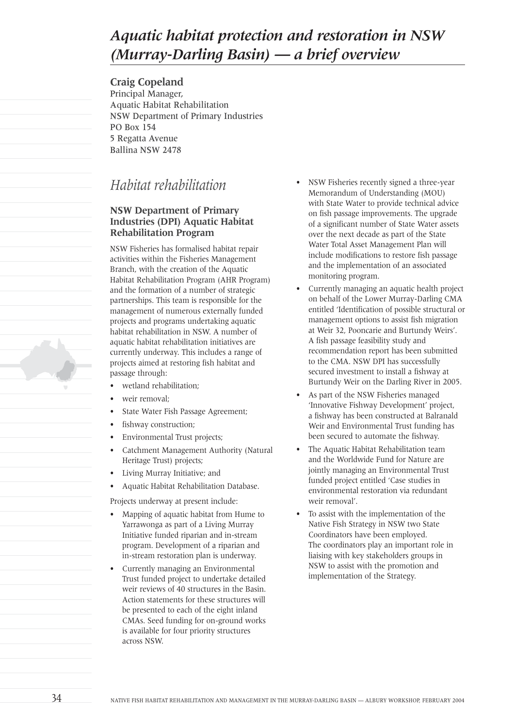# *Aquatic habitat protection and restoration in NSW (Murray-Darling Basin) — a brief overview*

**Craig Copeland** Principal Manager, Aquatic Habitat Rehabilitation NSW Department of Primary Industries PO Box 154 5 Regatta Avenue Ballina NSW 2478

# *Habitat rehabilitation*

# **NSW Department of Primary Industries (DPI) Aquatic Habitat Rehabilitation Program**

NSW Fisheries has formalised habitat repair activities within the Fisheries Management Branch, with the creation of the Aquatic Habitat Rehabilitation Program (AHR Program) and the formation of a number of strategic partnerships. This team is responsible for the management of numerous externally funded projects and programs undertaking aquatic habitat rehabilitation in NSW. A number of aquatic habitat rehabilitation initiatives are currently underway. This includes a range of projects aimed at restoring fish habitat and passage through:

- wetland rehabilitation:
- weir removal:
- State Water Fish Passage Agreement;
- fishway construction;
- Environmental Trust projects;
- Catchment Management Authority (Natural Heritage Trust) projects;
- Living Murray Initiative; and
- Aquatic Habitat Rehabilitation Database.

Projects underway at present include:

- Mapping of aquatic habitat from Hume to Yarrawonga as part of a Living Murray Initiative funded riparian and in-stream program. Development of a riparian and in-stream restoration plan is underway.
- Currently managing an Environmental Trust funded project to undertake detailed weir reviews of 40 structures in the Basin. Action statements for these structures will be presented to each of the eight inland CMAs. Seed funding for on-ground works is available for four priority structures across NSW.
- NSW Fisheries recently signed a three-year Memorandum of Understanding (MOU) with State Water to provide technical advice on fish passage improvements. The upgrade of a significant number of State Water assets over the next decade as part of the State Water Total Asset Management Plan will include modifications to restore fish passage and the implementation of an associated monitoring program.
- Currently managing an aquatic health project on behalf of the Lower Murray-Darling CMA entitled 'Identification of possible structural or management options to assist fish migration at Weir 32, Pooncarie and Burtundy Weirs'. A fish passage feasibility study and recommendation report has been submitted to the CMA. NSW DPI has successfully secured investment to install a fishway at Burtundy Weir on the Darling River in 2005.
- As part of the NSW Fisheries managed 'Innovative Fishway Development' project, a fishway has been constructed at Balranald Weir and Environmental Trust funding has been secured to automate the fishway.
- The Aquatic Habitat Rehabilitation team and the Worldwide Fund for Nature are jointly managing an Environmental Trust funded project entitled 'Case studies in environmental restoration via redundant weir removal'.
- To assist with the implementation of the Native Fish Strategy in NSW two State Coordinators have been employed. The coordinators play an important role in liaising with key stakeholders groups in NSW to assist with the promotion and implementation of the Strategy.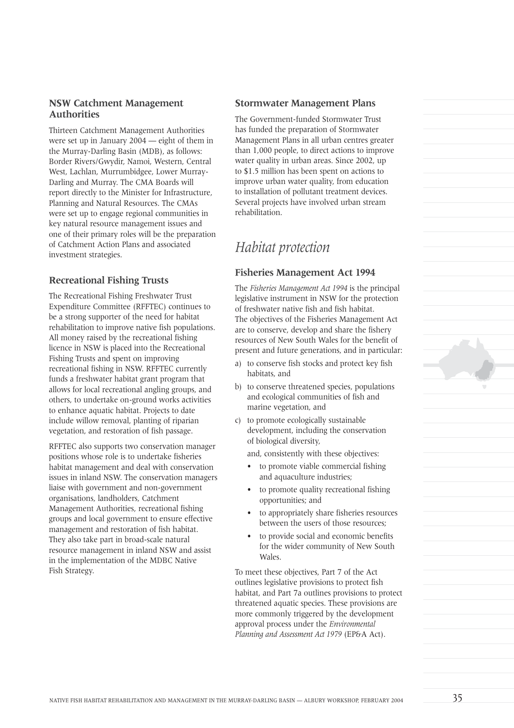### **NSW Catchment Management Authorities**

Thirteen Catchment Management Authorities were set up in January 2004 — eight of them in the Murray-Darling Basin (MDB), as follows: Border Rivers/Gwydir, Namoi, Western, Central West, Lachlan, Murrumbidgee, Lower Murray-Darling and Murray. The CMA Boards will report directly to the Minister for Infrastructure, Planning and Natural Resources. The CMAs were set up to engage regional communities in key natural resource management issues and one of their primary roles will be the preparation of Catchment Action Plans and associated investment strategies.

## **Recreational Fishing Trusts**

The Recreational Fishing Freshwater Trust Expenditure Committee (RFFTEC) continues to be a strong supporter of the need for habitat rehabilitation to improve native fish populations. All money raised by the recreational fishing licence in NSW is placed into the Recreational Fishing Trusts and spent on improving recreational fishing in NSW. RFFTEC currently funds a freshwater habitat grant program that allows for local recreational angling groups, and others, to undertake on-ground works activities to enhance aquatic habitat. Projects to date include willow removal, planting of riparian vegetation, and restoration of fish passage.

RFFTEC also supports two conservation manager positions whose role is to undertake fisheries habitat management and deal with conservation issues in inland NSW. The conservation managers liaise with government and non-government organisations, landholders, Catchment Management Authorities, recreational fishing groups and local government to ensure effective management and restoration of fish habitat. They also take part in broad-scale natural resource management in inland NSW and assist in the implementation of the MDBC Native Fish Strategy.

### **Stormwater Management Plans**

The Government-funded Stormwater Trust has funded the preparation of Stormwater Management Plans in all urban centres greater than 1,000 people, to direct actions to improve water quality in urban areas. Since 2002, up to \$1.5 million has been spent on actions to improve urban water quality, from education to installation of pollutant treatment devices. Several projects have involved urban stream rehabilitation.

# *Habitat protection*

### **Fisheries Management Act 1994**

The *Fisheries Management Act 1994* is the principal legislative instrument in NSW for the protection of freshwater native fish and fish habitat. The objectives of the Fisheries Management Act are to conserve, develop and share the fishery resources of New South Wales for the benefit of present and future generations, and in particular:

- a) to conserve fish stocks and protect key fish habitats, and
- b) to conserve threatened species, populations and ecological communities of fish and marine vegetation, and
- c) to promote ecologically sustainable development, including the conservation of biological diversity,

and, consistently with these objectives:

- to promote viable commercial fishing and aquaculture industries;
- to promote quality recreational fishing opportunities; and
- to appropriately share fisheries resources between the users of those resources;
- to provide social and economic benefits for the wider community of New South Wales.

To meet these objectives, Part 7 of the Act outlines legislative provisions to protect fish habitat, and Part 7a outlines provisions to protect threatened aquatic species. These provisions are more commonly triggered by the development approval process under the *Environmental Planning and Assessment Act 1979* (EP&A Act).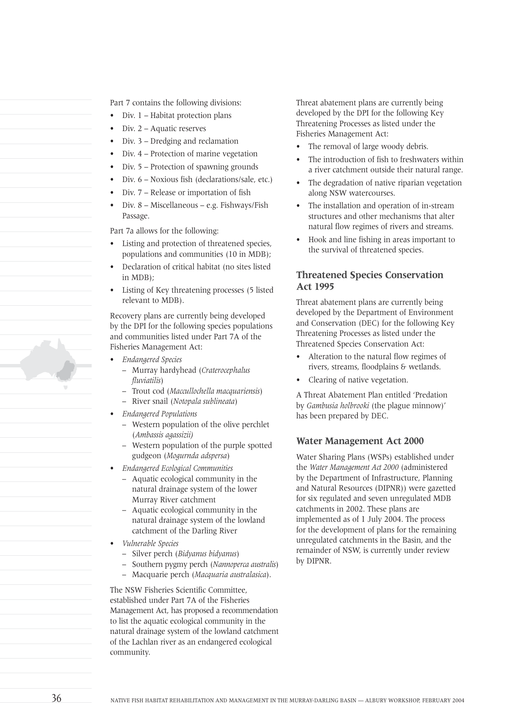Part 7 contains the following divisions:

- Div. 1 Habitat protection plans
- Div. 2 Aquatic reserves
- Div. 3 Dredging and reclamation
- Div. 4 Protection of marine vegetation
- Div. 5 Protection of spawning grounds
- Div. 6 Noxious fish (declarations/sale, etc.)
- Div. 7 Release or importation of fish
- Div. 8 Miscellaneous e.g. Fishways/Fish Passage.

Part 7a allows for the following:

- Listing and protection of threatened species. populations and communities (10 in MDB);
- Declaration of critical habitat (no sites listed in MDB);
- Listing of Key threatening processes (5 listed relevant to MDB).

Recovery plans are currently being developed by the DPI for the following species populations and communities listed under Part 7A of the Fisheries Management Act:

- *Endangered Species*
	- Murray hardyhead (*Craterocephalus fluviatilis*)
	- Trout cod (*Maccullochella macquariensis*)
	- River snail (*Notopala sublineata*)
- *Endangered Populations*
	- Western population of the olive perchlet (*Ambassis agassizii)*
	- Western population of the purple spotted gudgeon (*Mogurnda adspersa*)
- *Endangered Ecological Communities*
	- Aquatic ecological community in the natural drainage system of the lower Murray River catchment
	- Aquatic ecological community in the natural drainage system of the lowland catchment of the Darling River
- *Vulnerable Species*
	- Silver perch (*Bidyanus bidyanus*)
	- Southern pygmy perch (*Nannoperca australis*)
	- Macquarie perch (*Macquaria australasica*).

The NSW Fisheries Scientific Committee, established under Part 7A of the Fisheries Management Act, has proposed a recommendation to list the aquatic ecological community in the natural drainage system of the lowland catchment of the Lachlan river as an endangered ecological community.

Threat abatement plans are currently being developed by the DPI for the following Key Threatening Processes as listed under the Fisheries Management Act:

- The removal of large woody debris.
- The introduction of fish to freshwaters within a river catchment outside their natural range.
- The degradation of native riparian vegetation along NSW watercourses.
- The installation and operation of in-stream structures and other mechanisms that alter natural flow regimes of rivers and streams.
- Hook and line fishing in areas important to the survival of threatened species.

### **Threatened Species Conservation Act 1995**

Threat abatement plans are currently being developed by the Department of Environment and Conservation (DEC) for the following Key Threatening Processes as listed under the Threatened Species Conservation Act:

- Alteration to the natural flow regimes of rivers, streams, floodplains & wetlands.
- Clearing of native vegetation.

A Threat Abatement Plan entitled 'Predation by *Gambusia holbrooki* (the plague minnow)' has been prepared by DEC.

#### **Water Management Act 2000**

Water Sharing Plans (WSPs) established under the *Water Management Act 2000* (administered by the Department of Infrastructure, Planning and Natural Resources (DIPNR)) were gazetted for six regulated and seven unregulated MDB catchments in 2002. These plans are implemented as of 1 July 2004. The process for the development of plans for the remaining unregulated catchments in the Basin, and the remainder of NSW, is currently under review by DIPNR.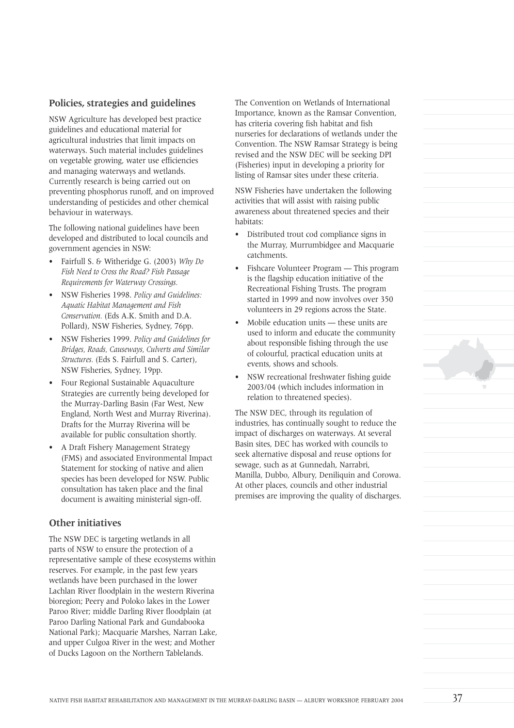### **Policies, strategies and guidelines**

NSW Agriculture has developed best practice guidelines and educational material for agricultural industries that limit impacts on waterways. Such material includes guidelines on vegetable growing, water use efficiencies and managing waterways and wetlands. Currently research is being carried out on preventing phosphorus runoff, and on improved understanding of pesticides and other chemical behaviour in waterways.

The following national guidelines have been developed and distributed to local councils and government agencies in NSW:

- Fairfull S. & Witheridge G. (2003) *Why Do Fish Need to Cross the Road? Fish Passage Requirements for Waterway Crossings.*
- NSW Fisheries 1998. *Policy and Guidelines: Aquatic Habitat Management and Fish Conservation.* (Eds A.K. Smith and D.A. Pollard), NSW Fisheries, Sydney, 76pp.
- NSW Fisheries 1999. *Policy and Guidelines for Bridges, Roads, Causeways, Culverts and Similar Structures.* (Eds S. Fairfull and S. Carter), NSW Fisheries, Sydney, 19pp.
- Four Regional Sustainable Aquaculture Strategies are currently being developed for the Murray-Darling Basin (Far West, New England, North West and Murray Riverina). Drafts for the Murray Riverina will be available for public consultation shortly.
- A Draft Fishery Management Strategy (FMS) and associated Environmental Impact Statement for stocking of native and alien species has been developed for NSW. Public consultation has taken place and the final document is awaiting ministerial sign-off.

#### **Other initiatives**

The NSW DEC is targeting wetlands in all parts of NSW to ensure the protection of a representative sample of these ecosystems within reserves. For example, in the past few years wetlands have been purchased in the lower Lachlan River floodplain in the western Riverina bioregion; Peery and Poloko lakes in the Lower Paroo River; middle Darling River floodplain (at Paroo Darling National Park and Gundabooka National Park); Macquarie Marshes, Narran Lake, and upper Culgoa River in the west; and Mother of Ducks Lagoon on the Northern Tablelands.

The Convention on Wetlands of International Importance, known as the Ramsar Convention, has criteria covering fish habitat and fish nurseries for declarations of wetlands under the Convention. The NSW Ramsar Strategy is being revised and the NSW DEC will be seeking DPI (Fisheries) input in developing a priority for listing of Ramsar sites under these criteria.

NSW Fisheries have undertaken the following activities that will assist with raising public awareness about threatened species and their habitats:

- Distributed trout cod compliance signs in the Murray, Murrumbidgee and Macquarie catchments.
- Fishcare Volunteer Program This program is the flagship education initiative of the Recreational Fishing Trusts. The program started in 1999 and now involves over 350 volunteers in 29 regions across the State.
- Mobile education units these units are used to inform and educate the community about responsible fishing through the use of colourful, practical education units at events, shows and schools.
- NSW recreational freshwater fishing guide 2003/04 (which includes information in relation to threatened species).

The NSW DEC, through its regulation of industries, has continually sought to reduce the impact of discharges on waterways. At several Basin sites, DEC has worked with councils to seek alternative disposal and reuse options for sewage, such as at Gunnedah, Narrabri, Manilla, Dubbo, Albury, Deniliquin and Corowa. At other places, councils and other industrial premises are improving the quality of discharges.

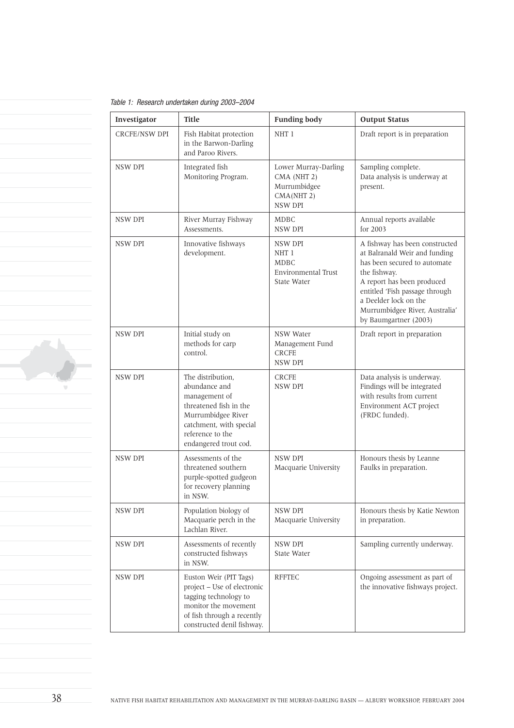Table 1: Research undertaken during 2003–2004

| Investigator         | <b>Title</b>                                                                                                                                                                | <b>Funding body</b>                                                          | <b>Output Status</b>                                                                                                                                                                                                                                                |
|----------------------|-----------------------------------------------------------------------------------------------------------------------------------------------------------------------------|------------------------------------------------------------------------------|---------------------------------------------------------------------------------------------------------------------------------------------------------------------------------------------------------------------------------------------------------------------|
| <b>CRCFE/NSW DPI</b> | Fish Habitat protection<br>in the Barwon-Darling<br>and Paroo Rivers.                                                                                                       | NHT 1                                                                        | Draft report is in preparation                                                                                                                                                                                                                                      |
| <b>NSW DPI</b>       | Integrated fish<br>Monitoring Program.                                                                                                                                      | Lower Murray-Darling<br>CMA (NHT 2)<br>Murrumbidgee<br>CMA(NHT 2)<br>NSW DPI | Sampling complete.<br>Data analysis is underway at<br>present.                                                                                                                                                                                                      |
| NSW DPI              | River Murray Fishway<br>Assessments.                                                                                                                                        | <b>MDBC</b><br>NSW DPI                                                       | Annual reports available<br>for 2003                                                                                                                                                                                                                                |
| NSW DPI              | Innovative fishways<br>development.                                                                                                                                         | NSW DPI<br>NHT 1<br><b>MDBC</b><br><b>Environmental Trust</b><br>State Water | A fishway has been constructed<br>at Balranald Weir and funding<br>has been secured to automate<br>the fishway.<br>A report has been produced<br>entitled 'Fish passage through<br>a Deelder lock on the<br>Murrumbidgee River, Australia'<br>by Baumgartner (2003) |
| NSW DPI              | Initial study on<br>methods for carp<br>control.                                                                                                                            | NSW Water<br>Management Fund<br><b>CRCFE</b><br>NSW DPI                      | Draft report in preparation                                                                                                                                                                                                                                         |
| NSW DPI              | The distribution,<br>abundance and<br>management of<br>threatened fish in the<br>Murrumbidgee River<br>catchment, with special<br>reference to the<br>endangered trout cod. | <b>CRCFE</b><br>NSW DPI                                                      | Data analysis is underway.<br>Findings will be integrated<br>with results from current<br>Environment ACT project<br>(FRDC funded).                                                                                                                                 |
| NSW DPI              | Assessments of the<br>threatened southern<br>purple-spotted gudgeon<br>for recovery planning<br>in NSW.                                                                     | NSW DPI<br>Macquarie University                                              | Honours thesis by Leanne<br>Faulks in preparation.                                                                                                                                                                                                                  |
| NSW DPI              | Population biology of<br>Macquarie perch in the<br>Lachlan River.                                                                                                           | NSW DPI<br>Macquarie University                                              | Honours thesis by Katie Newton<br>in preparation.                                                                                                                                                                                                                   |
| NSW DPI              | Assessments of recently<br>constructed fishways<br>in NSW.                                                                                                                  | NSW DPI<br>State Water                                                       | Sampling currently underway.                                                                                                                                                                                                                                        |
| NSW DPI              | Euston Weir (PIT Tags)<br>project - Use of electronic<br>tagging technology to<br>monitor the movement<br>of fish through a recently<br>constructed denil fishway.          | <b>RFFTEC</b>                                                                | Ongoing assessment as part of<br>the innovative fishways project.                                                                                                                                                                                                   |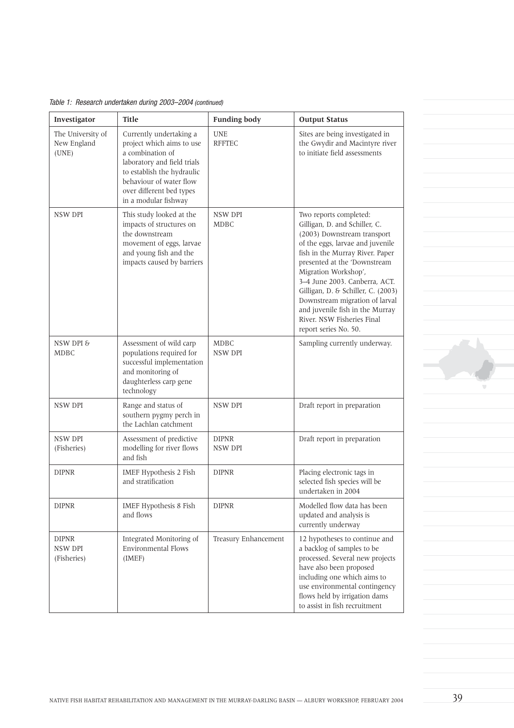| Table 1: Research undertaken during 2003-2004 (continued) |  |  |  |  |  |  |  |
|-----------------------------------------------------------|--|--|--|--|--|--|--|
|-----------------------------------------------------------|--|--|--|--|--|--|--|

| Investigator                              | <b>Title</b>                                                                                                                                                                                                         | <b>Funding body</b>         | <b>Output Status</b>                                                                                                                                                                                                                                                                                                                                                                                                     |
|-------------------------------------------|----------------------------------------------------------------------------------------------------------------------------------------------------------------------------------------------------------------------|-----------------------------|--------------------------------------------------------------------------------------------------------------------------------------------------------------------------------------------------------------------------------------------------------------------------------------------------------------------------------------------------------------------------------------------------------------------------|
| The University of<br>New England<br>(UNE) | Currently undertaking a<br>project which aims to use<br>a combination of<br>laboratory and field trials<br>to establish the hydraulic<br>behaviour of water flow<br>over different bed types<br>in a modular fishway | <b>UNE</b><br><b>RFFTEC</b> | Sites are being investigated in<br>the Gwydir and Macintyre river<br>to initiate field assessments                                                                                                                                                                                                                                                                                                                       |
| NSW DPI                                   | This study looked at the<br>impacts of structures on<br>the downstream<br>movement of eggs, larvae<br>and young fish and the<br>impacts caused by barriers                                                           | NSW DPI<br><b>MDBC</b>      | Two reports completed:<br>Gilligan, D. and Schiller, C.<br>(2003) Downstream transport<br>of the eggs, larvae and juvenile<br>fish in the Murray River. Paper<br>presented at the 'Downstream<br>Migration Workshop',<br>3-4 June 2003. Canberra, ACT.<br>Gilligan, D. & Schiller, C. (2003)<br>Downstream migration of larval<br>and juvenile fish in the Murray<br>River. NSW Fisheries Final<br>report series No. 50. |
| NSW DPI &<br><b>MDBC</b>                  | Assessment of wild carp<br>populations required for<br>successful implementation<br>and monitoring of<br>daughterless carp gene<br>technology                                                                        | <b>MDBC</b><br>NSW DPI      | Sampling currently underway.                                                                                                                                                                                                                                                                                                                                                                                             |
| NSW DPI                                   | Range and status of<br>southern pygmy perch in<br>the Lachlan catchment                                                                                                                                              | NSW DPI                     | Draft report in preparation                                                                                                                                                                                                                                                                                                                                                                                              |
| NSW DPI<br>(Fisheries)                    | Assessment of predictive<br>modelling for river flows<br>and fish                                                                                                                                                    | <b>DIPNR</b><br>NSW DPI     | Draft report in preparation                                                                                                                                                                                                                                                                                                                                                                                              |
| <b>DIPNR</b>                              | IMEF Hypothesis 2 Fish<br>and stratification                                                                                                                                                                         | <b>DIPNR</b>                | Placing electronic tags in<br>selected fish species will be<br>undertaken in 2004                                                                                                                                                                                                                                                                                                                                        |
| <b>DIPNR</b>                              | IMEF Hypothesis 8 Fish<br>and flows                                                                                                                                                                                  | <b>DIPNR</b>                | Modelled flow data has been<br>updated and analysis is<br>currently underway                                                                                                                                                                                                                                                                                                                                             |
| <b>DIPNR</b><br>NSW DPI<br>(Fisheries)    | Integrated Monitoring of<br><b>Environmental Flows</b><br>(IMEF)                                                                                                                                                     | Treasury Enhancement        | 12 hypotheses to continue and<br>a backlog of samples to be<br>processed. Several new projects<br>have also been proposed<br>including one which aims to<br>use environmental contingency<br>flows held by irrigation dams<br>to assist in fish recruitment                                                                                                                                                              |